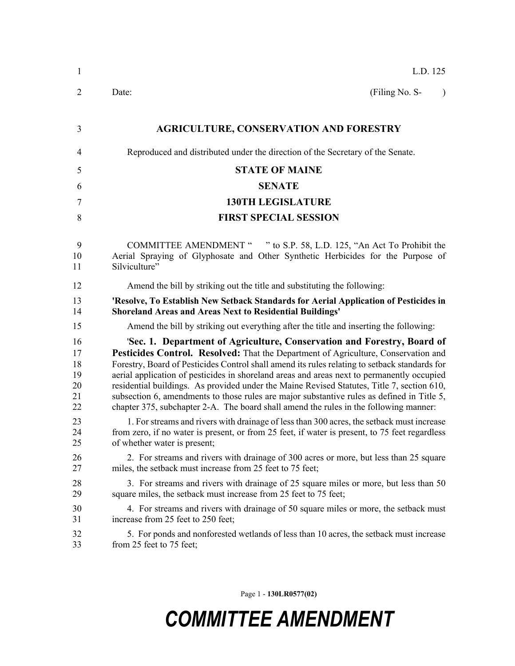| 1                                      | L.D. 125                                                                                                                                                                                                                                                                                                                                                                                                                                                                                                                                                                                                                                          |
|----------------------------------------|---------------------------------------------------------------------------------------------------------------------------------------------------------------------------------------------------------------------------------------------------------------------------------------------------------------------------------------------------------------------------------------------------------------------------------------------------------------------------------------------------------------------------------------------------------------------------------------------------------------------------------------------------|
| 2                                      | (Filing No. S-<br>Date:<br>$\lambda$                                                                                                                                                                                                                                                                                                                                                                                                                                                                                                                                                                                                              |
| 3                                      | <b>AGRICULTURE, CONSERVATION AND FORESTRY</b>                                                                                                                                                                                                                                                                                                                                                                                                                                                                                                                                                                                                     |
| 4                                      | Reproduced and distributed under the direction of the Secretary of the Senate.                                                                                                                                                                                                                                                                                                                                                                                                                                                                                                                                                                    |
| 5                                      | <b>STATE OF MAINE</b>                                                                                                                                                                                                                                                                                                                                                                                                                                                                                                                                                                                                                             |
| 6                                      | <b>SENATE</b>                                                                                                                                                                                                                                                                                                                                                                                                                                                                                                                                                                                                                                     |
| 7                                      | <b>130TH LEGISLATURE</b>                                                                                                                                                                                                                                                                                                                                                                                                                                                                                                                                                                                                                          |
| 8                                      | <b>FIRST SPECIAL SESSION</b>                                                                                                                                                                                                                                                                                                                                                                                                                                                                                                                                                                                                                      |
| 9<br>10<br>11                          | COMMITTEE AMENDMENT " " to S.P. 58, L.D. 125, "An Act To Prohibit the<br>Aerial Spraying of Glyphosate and Other Synthetic Herbicides for the Purpose of<br>Silviculture"                                                                                                                                                                                                                                                                                                                                                                                                                                                                         |
| 12                                     | Amend the bill by striking out the title and substituting the following:                                                                                                                                                                                                                                                                                                                                                                                                                                                                                                                                                                          |
| 13<br>14                               | 'Resolve, To Establish New Setback Standards for Aerial Application of Pesticides in<br><b>Shoreland Areas and Areas Next to Residential Buildings'</b>                                                                                                                                                                                                                                                                                                                                                                                                                                                                                           |
| 15                                     | Amend the bill by striking out everything after the title and inserting the following:                                                                                                                                                                                                                                                                                                                                                                                                                                                                                                                                                            |
| 16<br>17<br>18<br>19<br>20<br>21<br>22 | 'Sec. 1. Department of Agriculture, Conservation and Forestry, Board of<br>Pesticides Control. Resolved: That the Department of Agriculture, Conservation and<br>Forestry, Board of Pesticides Control shall amend its rules relating to setback standards for<br>aerial application of pesticides in shoreland areas and areas next to permanently occupied<br>residential buildings. As provided under the Maine Revised Statutes, Title 7, section 610,<br>subsection 6, amendments to those rules are major substantive rules as defined in Title 5,<br>chapter 375, subchapter 2-A. The board shall amend the rules in the following manner: |
| 23<br>24<br>25                         | 1. For streams and rivers with drainage of less than 300 acres, the setback must increase<br>from zero, if no water is present, or from 25 feet, if water is present, to 75 feet regardless<br>of whether water is present;                                                                                                                                                                                                                                                                                                                                                                                                                       |
| 26<br>27                               | 2. For streams and rivers with drainage of 300 acres or more, but less than 25 square<br>miles, the setback must increase from 25 feet to 75 feet;                                                                                                                                                                                                                                                                                                                                                                                                                                                                                                |
| 28<br>29                               | 3. For streams and rivers with drainage of 25 square miles or more, but less than 50<br>square miles, the setback must increase from 25 feet to 75 feet;                                                                                                                                                                                                                                                                                                                                                                                                                                                                                          |
| 30<br>31                               | 4. For streams and rivers with drainage of 50 square miles or more, the setback must<br>increase from 25 feet to 250 feet;                                                                                                                                                                                                                                                                                                                                                                                                                                                                                                                        |
| 32<br>33                               | 5. For ponds and nonforested wetlands of less than 10 acres, the setback must increase<br>from 25 feet to 75 feet;                                                                                                                                                                                                                                                                                                                                                                                                                                                                                                                                |

Page 1 - **130LR0577(02)**

## *COMMITTEE AMENDMENT*